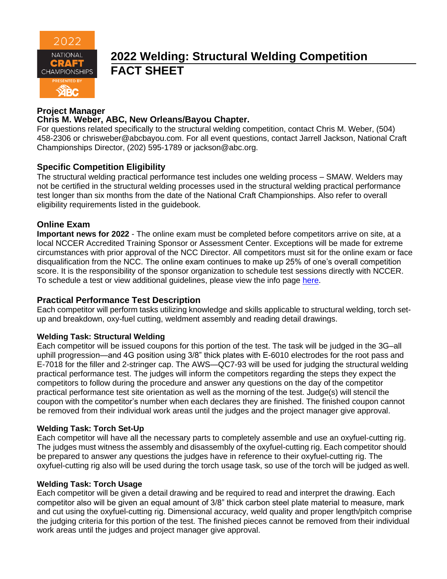

# **2022 Welding: Structural Welding Competition FACT SHEET**

#### **Project Manager**

#### **Chris M. Weber, ABC, New Orleans/Bayou Chapter.**

For questions related specifically to the structural welding competition, contact Chris M. Weber, (504) 458-2306 or [chrisweber@abcbayou.com.](mailto:chrisweber@abcbayou.com) For all event questions, contact Jarrell Jackson, National Craft Championships Director, (202) 595-1789 or jackson@abc.org.

#### **Specific Competition Eligibility**

The structural welding practical performance test includes one welding process – SMAW. Welders may not be certified in the structural welding processes used in the structural welding practical performance test longer than six months from the date of the National Craft Championships. Also refer to overall eligibility requirements listed in the guidebook.

#### **Online Exam**

**Important news for 2022** - The online exam must be completed before competitors arrive on site, at a local NCCER Accredited Training Sponsor or Assessment Center. Exceptions will be made for extreme circumstances with prior approval of the NCC Director. All competitors must sit for the online exam or face disqualification from the NCC. The online exam continues to make up 25% of one's overall competition score. It is the responsibility of the sponsor organization to schedule test sessions directly with NCCER. To schedule a test or view additional guidelines, please view the info page [here.](https://abc.org/Portals/1/NCC/National%20Craft%20Championship%20Testing%20Overview%20and%20Registration.pdf?ver=2022-01-31-154655-600)

#### **Practical Performance Test Description**

Each competitor will perform tasks utilizing knowledge and skills applicable to structural welding, torch setup and breakdown, oxy-fuel cutting, weldment assembly and reading detail drawings.

#### **Welding Task: Structural Welding**

Each competitor will be issued coupons for this portion of the test. The task will be judged in the 3G–all uphill progression—and 4G position using 3/8" thick plates with E-6010 electrodes for the root pass and E-7018 for the filler and 2-stringer cap. The AWS—QC7-93 will be used for judging the structural welding practical performance test. The judges will inform the competitors regarding the steps they expect the competitors to follow during the procedure and answer any questions on the day of the competitor practical performance test site orientation as well as the morning of the test. Judge(s) will stencil the coupon with the competitor's number when each declares they are finished. The finished coupon cannot be removed from their individual work areas until the judges and the project manager give approval.

#### **Welding Task: Torch Set-Up**

Each competitor will have all the necessary parts to completely assemble and use an oxyfuel-cutting rig. The judges must witness the assembly and disassembly of the oxyfuel-cutting rig. Each competitor should be prepared to answer any questions the judges have in reference to their oxyfuel-cutting rig. The oxyfuel-cutting rig also will be used during the torch usage task, so use of the torch will be judged as well.

#### **Welding Task: Torch Usage**

Each competitor will be given a detail drawing and be required to read and interpret the drawing. Each competitor also will be given an equal amount of 3/8" thick carbon steel plate material to measure, mark and cut using the oxyfuel-cutting rig. Dimensional accuracy, weld quality and proper length/pitch comprise the judging criteria for this portion of the test. The finished pieces cannot be removed from their individual work areas until the judges and project manager give approval.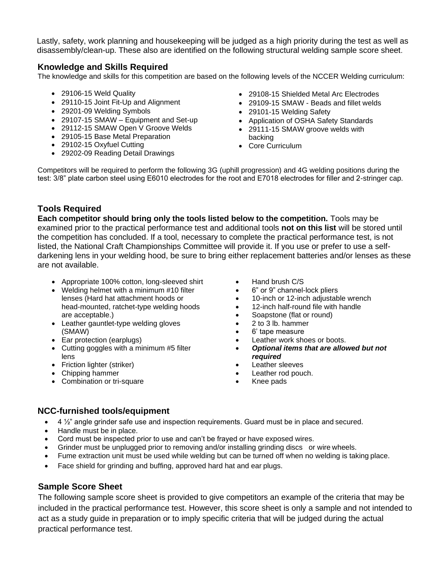Lastly, safety, work planning and housekeeping will be judged as a high priority during the test as well as disassembly/clean-up. These also are identified on the following structural welding sample score sheet.

#### **Knowledge and Skills Required**

The knowledge and skills for this competition are based on the following levels of the NCCER Welding curriculum:

- 29106-15 Weld Quality
- 29110-15 Joint Fit-Up and Alignment
- 29201-09 Welding Symbols
- 29107-15 SMAW Equipment and Set-up
- 29112-15 SMAW Open V Groove Welds
- 29105-15 Base Metal Preparation
- 29102-15 Oxyfuel Cutting
- 29202-09 Reading Detail Drawings
- 29108-15 Shielded Metal Arc Electrodes
- 29109-15 SMAW Beads and fillet welds
- 29101-15 Welding Safety
- Application of OSHA Safety Standards
	- 29111-15 SMAW groove welds with backing
	- Core Curriculum

Competitors will be required to perform the following 3G (uphill progression) and 4G welding positions during the test: 3/8" plate carbon steel using E6010 electrodes for the root and E7018 electrodes for filler and 2-stringer cap.

#### **Tools Required**

**Each competitor should bring only the tools listed below to the competition.** Tools may be examined prior to the practical performance test and additional tools **not on this list** will be stored until the competition has concluded. If a tool, necessary to complete the practical performance test, is not listed, the National Craft Championships Committee will provide it. If you use or prefer to use a selfdarkening lens in your welding hood, be sure to bring either replacement batteries and/or lenses as these are not available.

- Appropriate 100% cotton, long-sleeved shirt
- Welding helmet with a minimum #10 filter lenses (Hard hat attachment hoods or head-mounted, ratchet-type welding hoods are acceptable.)
- Leather gauntlet-type welding gloves (SMAW)
- Ear protection (earplugs)
- Cutting goggles with a minimum #5 filter lens
- Friction lighter (striker)
- Chipping hammer
- Combination or tri-square
- Hand brush C/S
- 6" or 9" channel-lock pliers
- 10-inch or 12-inch adjustable wrench
- 12-inch half-round file with handle
- Soapstone (flat or round)
- 2 to 3 lb. hammer
- 6' tape measure
- Leather work shoes or boots.
- *Optional items that are allowed but not required*
- Leather sleeves
- Leather rod pouch.
- Knee pads

#### **NCC-furnished tools/equipment**

- 4  $\frac{1}{2}$ " angle grinder safe use and inspection requirements. Guard must be in place and secured.
- Handle must be in place.
- Cord must be inspected prior to use and can't be frayed or have exposed wires.
- Grinder must be unplugged prior to removing and/or installing grinding discs or wire wheels.
- Fume extraction unit must be used while welding but can be turned off when no welding is taking place.
- Face shield for grinding and buffing, approved hard hat and ear plugs.

### **Sample Score Sheet**

The following sample score sheet is provided to give competitors an example of the criteria that may be included in the practical performance test. However, this score sheet is only a sample and not intended to act as a study guide in preparation or to imply specific criteria that will be judged during the actual practical performance test.